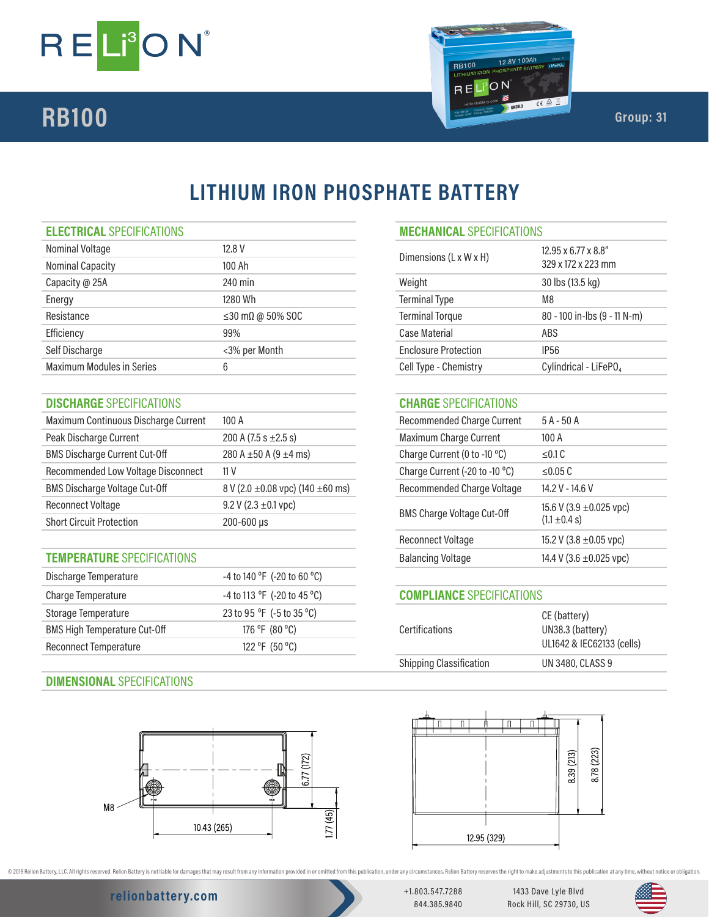



# **LITHIUM IRON PHOSPHATE BATTERY**

### **ELECTRICAL** SPECIFICATIONS **MECHANICAL** SPECIFICATIONS

| Nominal Voltage                  | 12.8 V                         | Dimensions (L x W x H)      | 12.95 x 6.77 x 8.8"               |
|----------------------------------|--------------------------------|-----------------------------|-----------------------------------|
| <b>Nominal Capacity</b>          | 100 Ah                         |                             | 329 x 172 x 223 mm                |
| Capacity @ 25A                   | 240 min                        | Weight                      | 30 lbs (13.5 kg)                  |
| Energy                           | 1280 Wh                        | <b>Terminal Type</b>        | M8                                |
| Resistance                       | $\leq$ 30 m $\Omega$ @ 50% SOC | <b>Terminal Torque</b>      | 80 - 100 in-lbs (9 - 11 N-m)      |
| Efficiency                       | 99%                            | Case Material               | ABS                               |
| Self Discharge                   | <3% per Month                  | <b>Enclosure Protection</b> | IP <sub>56</sub>                  |
| <b>Maximum Modules in Series</b> | 6                              | Cell Type - Chemistry       | Cylindrical - LiFePO <sub>4</sub> |
|                                  |                                |                             |                                   |

### **DISCHARGE** SPECIFICATIONS **CHARGE** SPECIFICATIONS

| Maximum Continuous Discharge Current | 100A                                       | <b>Recommended Charge Current</b>                      | $5A - 50A$              |
|--------------------------------------|--------------------------------------------|--------------------------------------------------------|-------------------------|
| Peak Discharge Current               | 200 A $(7.5 s \pm 2.5 s)$                  | Maximum Charge Current                                 | 100A                    |
| <b>BMS Discharge Current Cut-Off</b> | 280 A $\pm$ 50 A (9 $\pm$ 4 ms)            | Charge Current (0 to -10 °C)                           | $\leq$ 0.1 C            |
| Recommended Low Voltage Disconnect   | 11 <sub>V</sub>                            | Charge Current (-20 to -10 °C)                         | $\leq$ 0.05 C           |
| <b>BMS Discharge Voltage Cut-Off</b> | 8 V (2.0 $\pm$ 0.08 vpc) (140 $\pm$ 60 ms) | <b>Recommended Charge Voltage</b>                      | 14.2 V - 14.6 V         |
| <b>Reconnect Voltage</b>             | 9.2 V (2.3 $\pm$ 0.1 vpc)                  |                                                        | 15.6 V (3.9 ±0.025 vpc) |
| <b>Short Circuit Protection</b>      | $200 - 600 \,\mu s$                        | <b>BMS Charge Voltage Cut-Off</b><br>$(1.1 \pm 0.4 s)$ |                         |

### **TEMPERATURE** SPECIFICATIONS

| Discharge Temperature               | $-4$ to 140 °F (-20 to 60 °C)                 |
|-------------------------------------|-----------------------------------------------|
| Charge Temperature                  | -4 to 113 °F (-20 to 45 °C)                   |
| Storage Temperature                 | 23 to 95 $^{\circ}$ F (-5 to 35 $^{\circ}$ C) |
| <b>BMS High Temperature Cut-Off</b> | 176 °F (80 °C)                                |
| Reconnect Temperature               | 122 °F (50 °C)                                |
|                                     |                                               |

### **DIMENSIONAL** SPECIFICATIONS



| MELHANILAL SPELIFILAHUNS    |                                           |
|-----------------------------|-------------------------------------------|
| Dimensions (L x W x H)      | 12.95 x 6.77 x 8.8"<br>329 x 172 x 223 mm |
| Weight                      | 30 lbs (13.5 kg)                          |
| <b>Terminal Type</b>        | M8                                        |
| <b>Terminal Torque</b>      | $80 - 100$ in-lbs $(9 - 11 N - m)$        |
| Case Material               | ABS                                       |
| <b>Enclosure Protection</b> | IP56                                      |
| Cell Type - Chemistry       | Cylindrical - LiFePO <sub>4</sub>         |
|                             |                                           |

| Recommended Charge Current            | $5A - 50A$                                        |
|---------------------------------------|---------------------------------------------------|
| <b>Maximum Charge Current</b>         | 100A                                              |
| Charge Current (0 to -10 $\degree$ C) | < 0.1 C                                           |
| Charge Current (-20 to -10 °C)        | < 0.05 C                                          |
| Recommended Charge Voltage            | 14.2 V - 14.6 V                                   |
| <b>BMS Charge Voltage Cut-Off</b>     | 15.6 V (3.9 $\pm$ 0.025 vpc)<br>$(1.1 \pm 0.4 s)$ |
| Reconnect Voltage                     | 15.2 V (3.8 $\pm$ 0.05 vpc)                       |
| <b>Balancing Voltage</b>              | 14.4 V (3.6 $\pm$ 0.025 vpc)                      |
|                                       |                                                   |

### **COMPLIANCE** SPECIFICATIONS

| <b>Certifications</b>   | CE (battery)<br>UN38.3 (battery)<br>UL1642 & IEC62133 (cells) |
|-------------------------|---------------------------------------------------------------|
| Shipping Classification | <b>UN 3480, CLASS 9</b>                                       |
|                         |                                                               |



@ 2019 Relion Battery, LLC. All rights reserved. Relion Battery is not liable for damages that may result from any information provided in or omitted from this publication, under any oricumstances. Relion Battery reserves

## **relionbattery.com** +1.803.547.7288

844.385.9840

1433 Dave Lyle Blvd Rock Hill, SC 29730, US